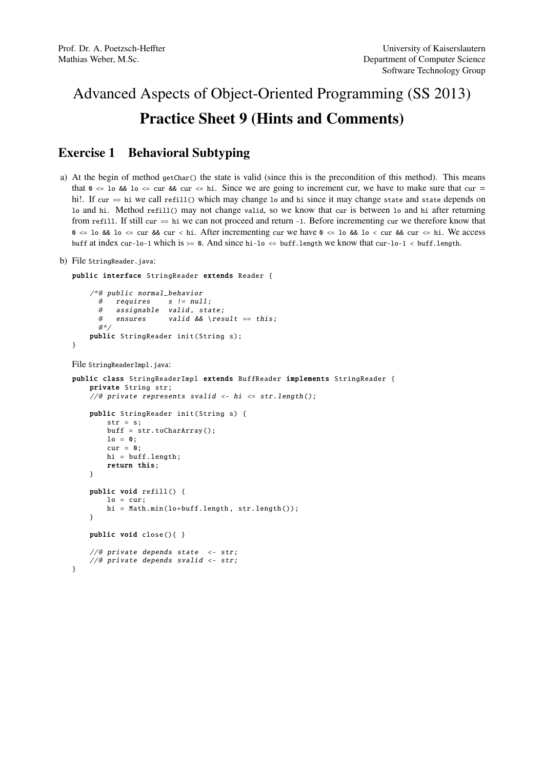## Advanced Aspects of Object-Oriented Programming (SS 2013) Practice Sheet 9 (Hints and Comments)

## Exercise 1 Behavioral Subtyping

- a) At the begin of method getChar() the state is valid (since this is the precondition of this method). This means that  $\theta \leq 1$  o &  $\theta$  lo  $\leq$  cur & cur  $\leq$  hi. Since we are going to increment cur, we have to make sure that cur = hi!. If cur == hi we call refill() which may change lo and hi since it may change state and state depends on lo and hi. Method refill() may not change valid, so we know that cur is between lo and hi after returning from refill. If still cur == hi we can not proceed and return -1. Before incrementing cur we therefore know that  $0 \leq 10$  &&  $10 \leq \text{cur}$  && cur  $\lt$  hi. After incrementing cur we have  $0 \leq 10$  &&  $10 \leq \text{cur}$  & cur  $\lt \leq$  hi. We access buff at index cur-lo-1 which is  $>= 0$ . And since hi-lo  $<=$  buff.length we know that cur-lo-1  $\lt$  buff.length.
- b) File StringReader.java:

}

```
public interface StringReader extends Reader {
```

```
/*@ public normal_behavior
 @ requires s != null;
 @ assignable valid, state;
 @ ensures valid && \result == this;
 a * ipublic StringReader init(String s);
```
File StringReaderImpl.java:

```
public class StringReaderImpl extends BuffReader implements StringReader {
    private String str;
    //@ private represents svalid <- hi <= str.length();
    public StringReader init(String s) {
        str = s;buff = str. toCharArray ();
        \ln = 0;
        cur = 0;
        hi = buff.length;
        return this;
    }
    public void refill () {
        lo = cur;
        hi = Math.min(lo+buff.length, str.length());
    }
    public void close (){ }
    //@ private depends state <- str;
    //@ private depends svalid <- str;
}
```